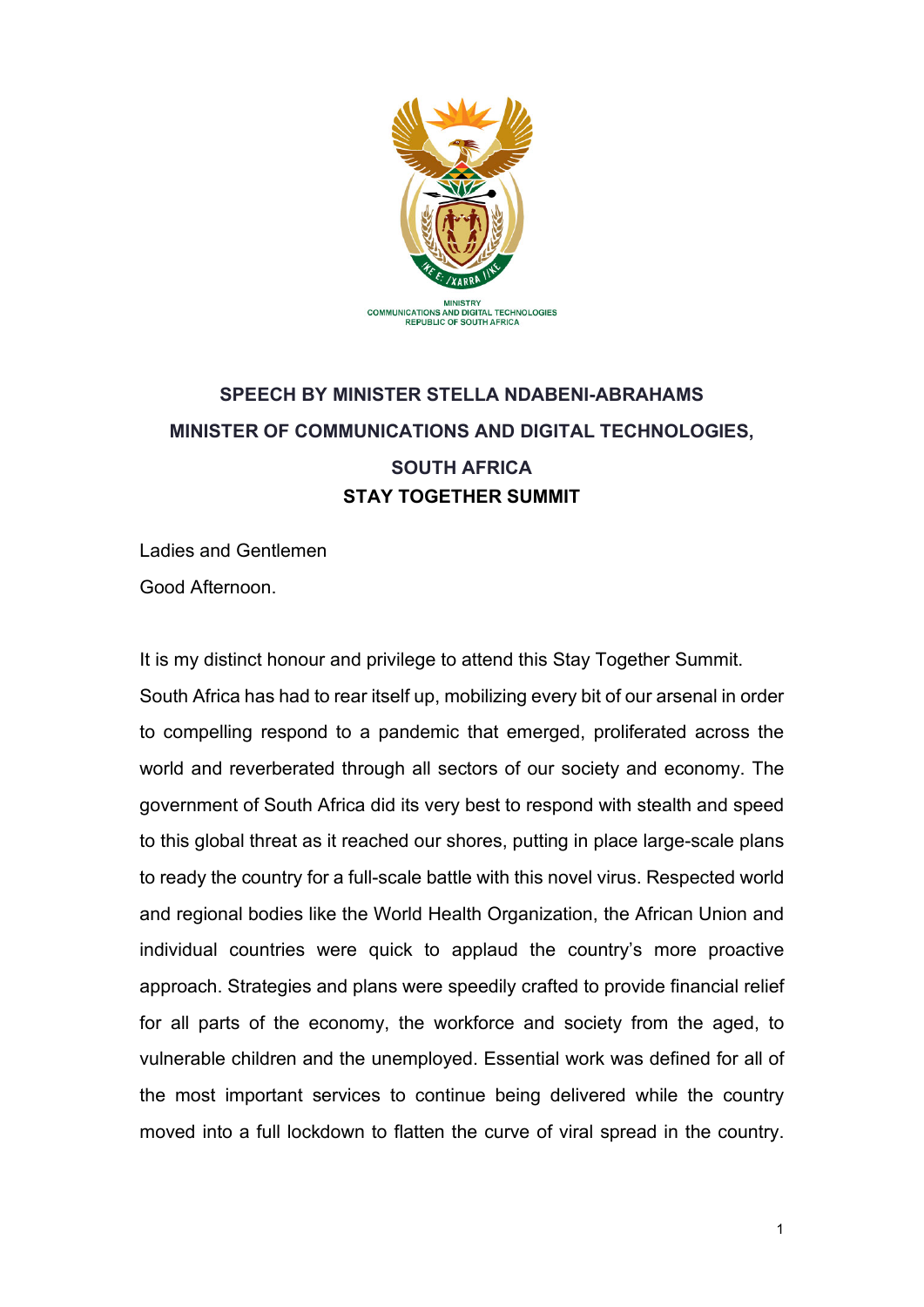

## **SPEECH BY MINISTER STELLA NDABENI-ABRAHAMS MINISTER OF COMMUNICATIONS AND DIGITAL TECHNOLOGIES, SOUTH AFRICA STAY TOGETHER SUMMIT**

Ladies and Gentlemen Good Afternoon.

It is my distinct honour and privilege to attend this Stay Together Summit. South Africa has had to rear itself up, mobilizing every bit of our arsenal in order to compelling respond to a pandemic that emerged, proliferated across the world and reverberated through all sectors of our society and economy. The government of South Africa did its very best to respond with stealth and speed to this global threat as it reached our shores, putting in place large-scale plans to ready the country for a full-scale battle with this novel virus. Respected world and regional bodies like the World Health Organization, the African Union and individual countries were quick to applaud the country's more proactive approach. Strategies and plans were speedily crafted to provide financial relief for all parts of the economy, the workforce and society from the aged, to vulnerable children and the unemployed. Essential work was defined for all of the most important services to continue being delivered while the country moved into a full lockdown to flatten the curve of viral spread in the country.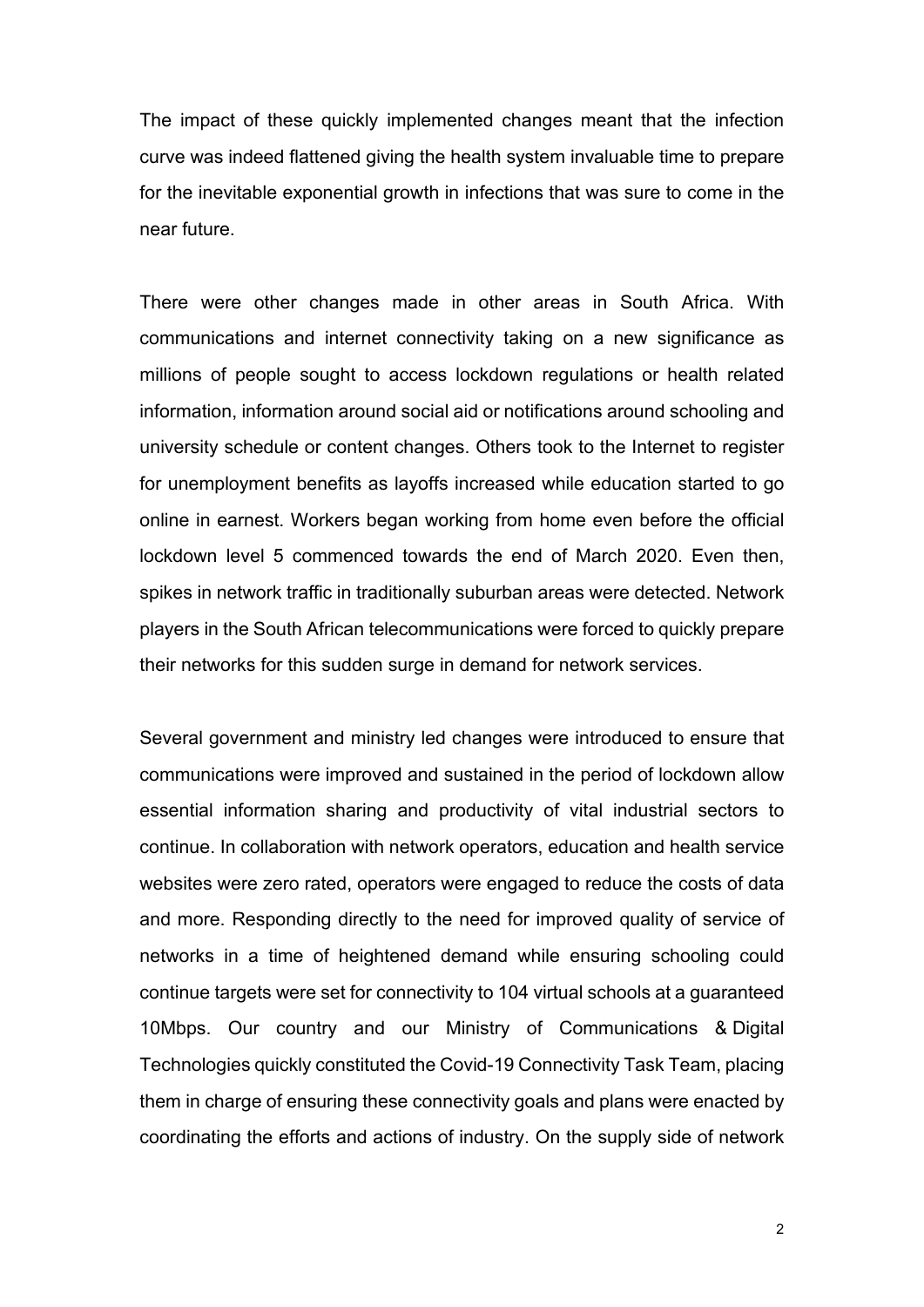The impact of these quickly implemented changes meant that the infection curve was indeed flattened giving the health system invaluable time to prepare for the inevitable exponential growth in infections that was sure to come in the near future.

There were other changes made in other areas in South Africa. With communications and internet connectivity taking on a new significance as millions of people sought to access lockdown regulations or health related information, information around social aid or notifications around schooling and university schedule or content changes. Others took to the Internet to register for unemployment benefits as layoffs increased while education started to go online in earnest. Workers began working from home even before the official lockdown level 5 commenced towards the end of March 2020. Even then, spikes in network traffic in traditionally suburban areas were detected. Network players in the South African telecommunications were forced to quickly prepare their networks for this sudden surge in demand for network services.

Several government and ministry led changes were introduced to ensure that communications were improved and sustained in the period of lockdown allow essential information sharing and productivity of vital industrial sectors to continue. In collaboration with network operators, education and health service websites were zero rated, operators were engaged to reduce the costs of data and more. Responding directly to the need for improved quality of service of networks in a time of heightened demand while ensuring schooling could continue targets were set for connectivity to 104 virtual schools at a guaranteed 10Mbps. Our country and our Ministry of Communications & Digital Technologies quickly constituted the Covid-19 Connectivity Task Team, placing them in charge of ensuring these connectivity goals and plans were enacted by coordinating the efforts and actions of industry. On the supply side of network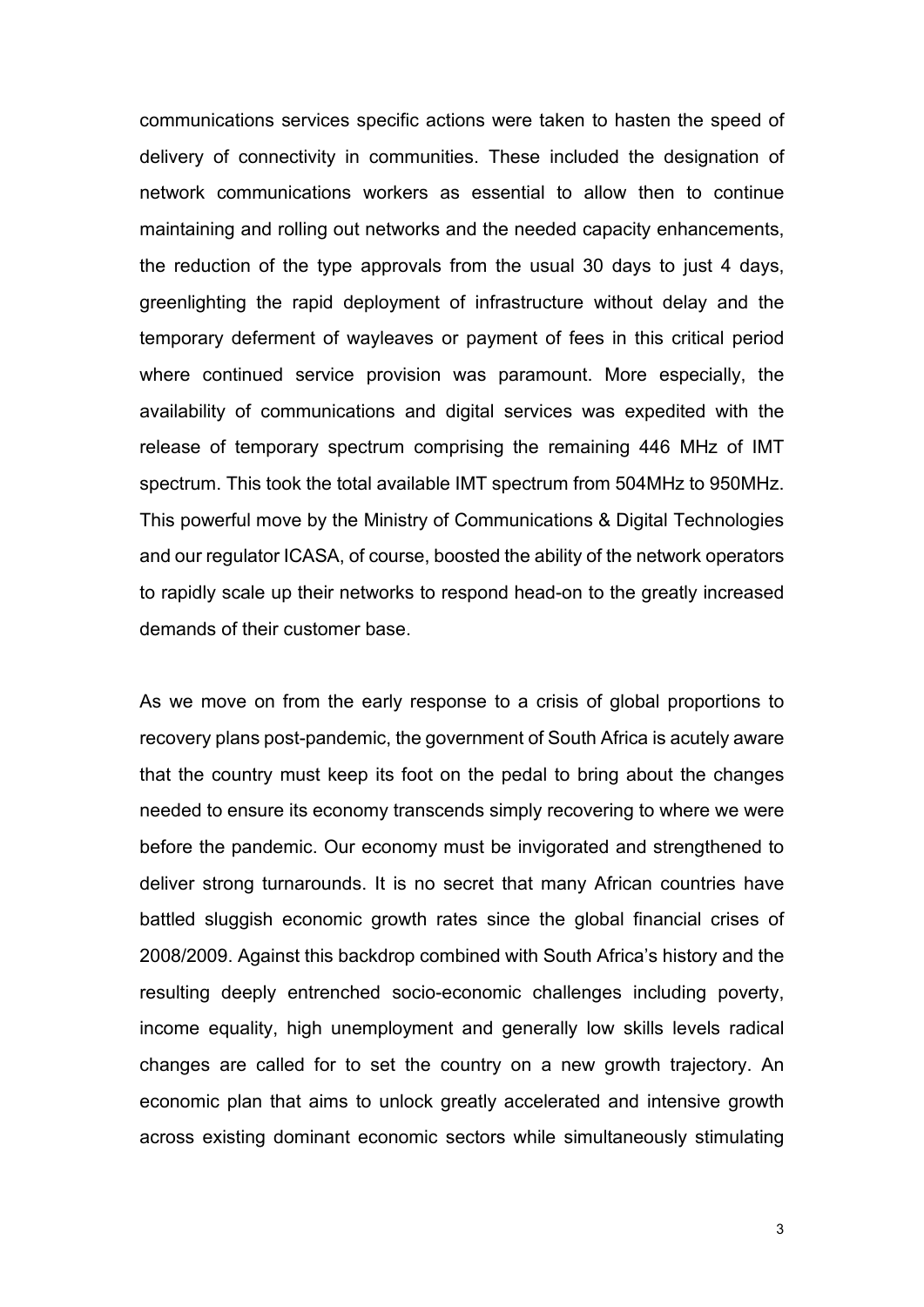communications services specific actions were taken to hasten the speed of delivery of connectivity in communities. These included the designation of network communications workers as essential to allow then to continue maintaining and rolling out networks and the needed capacity enhancements, the reduction of the type approvals from the usual 30 days to just 4 days, greenlighting the rapid deployment of infrastructure without delay and the temporary deferment of wayleaves or payment of fees in this critical period where continued service provision was paramount. More especially, the availability of communications and digital services was expedited with the release of temporary spectrum comprising the remaining 446 MHz of IMT spectrum. This took the total available IMT spectrum from 504MHz to 950MHz. This powerful move by the Ministry of Communications & Digital Technologies and our regulator ICASA, of course, boosted the ability of the network operators to rapidly scale up their networks to respond head-on to the greatly increased demands of their customer base.

As we move on from the early response to a crisis of global proportions to recovery plans post-pandemic, the government of South Africa is acutely aware that the country must keep its foot on the pedal to bring about the changes needed to ensure its economy transcends simply recovering to where we were before the pandemic. Our economy must be invigorated and strengthened to deliver strong turnarounds. It is no secret that many African countries have battled sluggish economic growth rates since the global financial crises of 2008/2009. Against this backdrop combined with South Africa's history and the resulting deeply entrenched socio-economic challenges including poverty, income equality, high unemployment and generally low skills levels radical changes are called for to set the country on a new growth trajectory. An economic plan that aims to unlock greatly accelerated and intensive growth across existing dominant economic sectors while simultaneously stimulating

3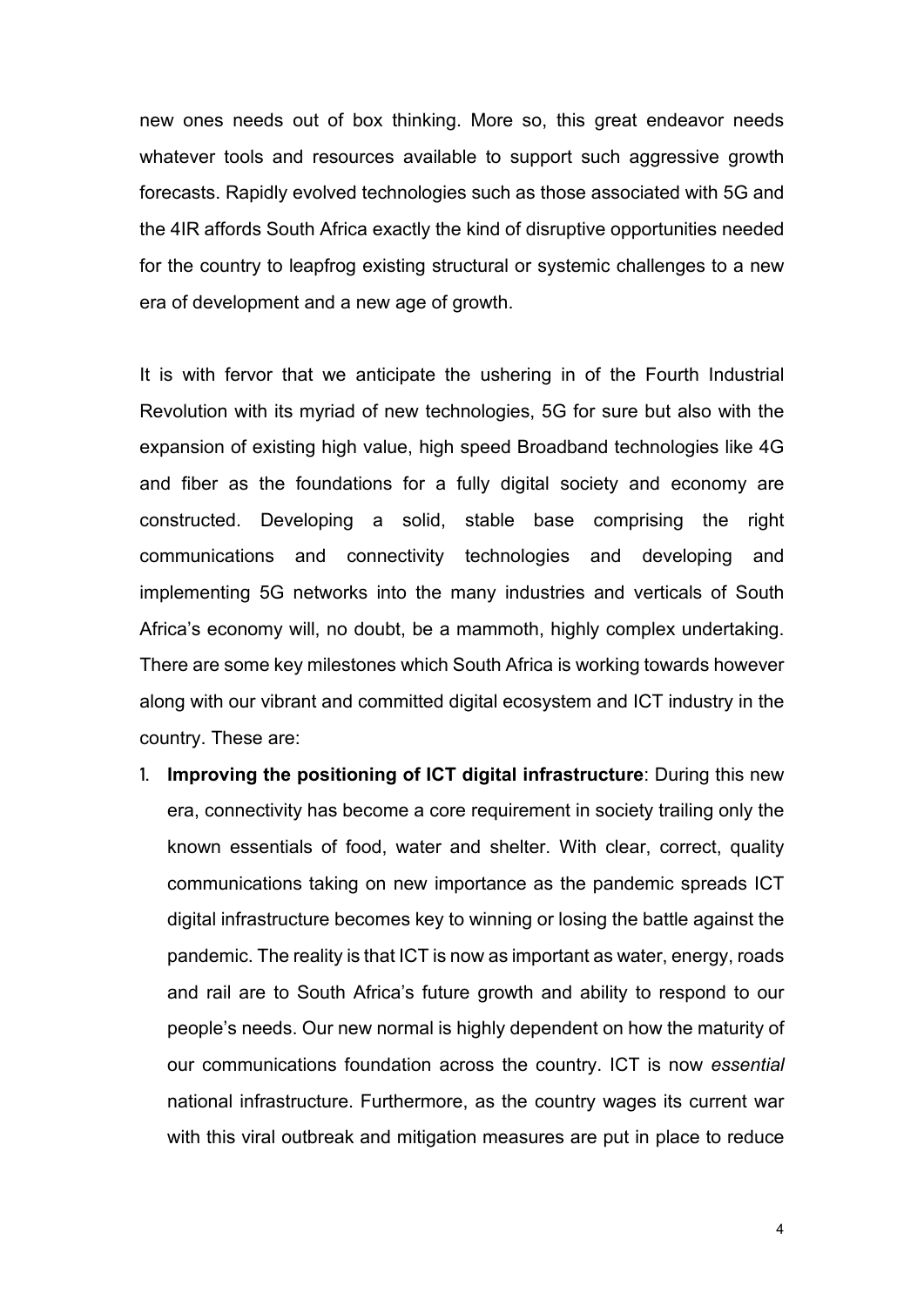new ones needs out of box thinking. More so, this great endeavor needs whatever tools and resources available to support such aggressive growth forecasts. Rapidly evolved technologies such as those associated with 5G and the 4IR affords South Africa exactly the kind of disruptive opportunities needed for the country to leapfrog existing structural or systemic challenges to a new era of development and a new age of growth.

It is with fervor that we anticipate the ushering in of the Fourth Industrial Revolution with its myriad of new technologies, 5G for sure but also with the expansion of existing high value, high speed Broadband technologies like 4G and fiber as the foundations for a fully digital society and economy are constructed. Developing a solid, stable base comprising the right communications and connectivity technologies and developing and implementing 5G networks into the many industries and verticals of South Africa's economy will, no doubt, be a mammoth, highly complex undertaking. There are some key milestones which South Africa is working towards however along with our vibrant and committed digital ecosystem and ICT industry in the country. These are:

1. **Improving the positioning of ICT digital infrastructure**: During this new era, connectivity has become a core requirement in society trailing only the known essentials of food, water and shelter. With clear, correct, quality communications taking on new importance as the pandemic spreads ICT digital infrastructure becomes key to winning or losing the battle against the pandemic. The reality is that ICT is now as important as water, energy, roads and rail are to South Africa's future growth and ability to respond to our people's needs. Our new normal is highly dependent on how the maturity of our communications foundation across the country. ICT is now *essential* national infrastructure. Furthermore, as the country wages its current war with this viral outbreak and mitigation measures are put in place to reduce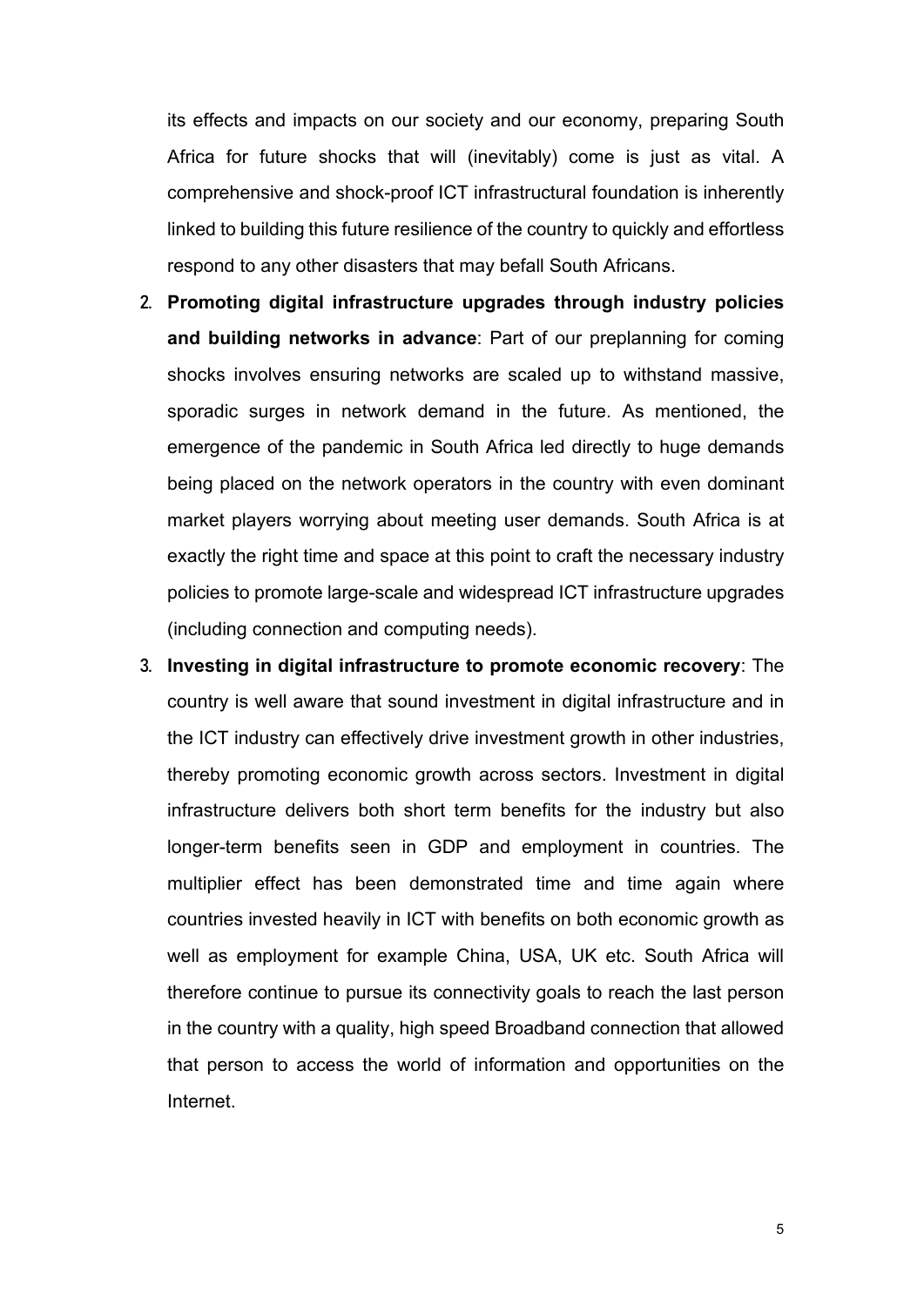its effects and impacts on our society and our economy, preparing South Africa for future shocks that will (inevitably) come is just as vital. A comprehensive and shock-proof ICT infrastructural foundation is inherently linked to building this future resilience of the country to quickly and effortless respond to any other disasters that may befall South Africans.

- 2. **Promoting digital infrastructure upgrades through industry policies and building networks in advance**: Part of our preplanning for coming shocks involves ensuring networks are scaled up to withstand massive, sporadic surges in network demand in the future. As mentioned, the emergence of the pandemic in South Africa led directly to huge demands being placed on the network operators in the country with even dominant market players worrying about meeting user demands. South Africa is at exactly the right time and space at this point to craft the necessary industry policies to promote large-scale and widespread ICT infrastructure upgrades (including connection and computing needs).
- 3. **Investing in digital infrastructure to promote economic recovery**: The country is well aware that sound investment in digital infrastructure and in the ICT industry can effectively drive investment growth in other industries, thereby promoting economic growth across sectors. Investment in digital infrastructure delivers both short term benefits for the industry but also longer-term benefits seen in GDP and employment in countries. The multiplier effect has been demonstrated time and time again where countries invested heavily in ICT with benefits on both economic growth as well as employment for example China, USA, UK etc. South Africa will therefore continue to pursue its connectivity goals to reach the last person in the country with a quality, high speed Broadband connection that allowed that person to access the world of information and opportunities on the Internet.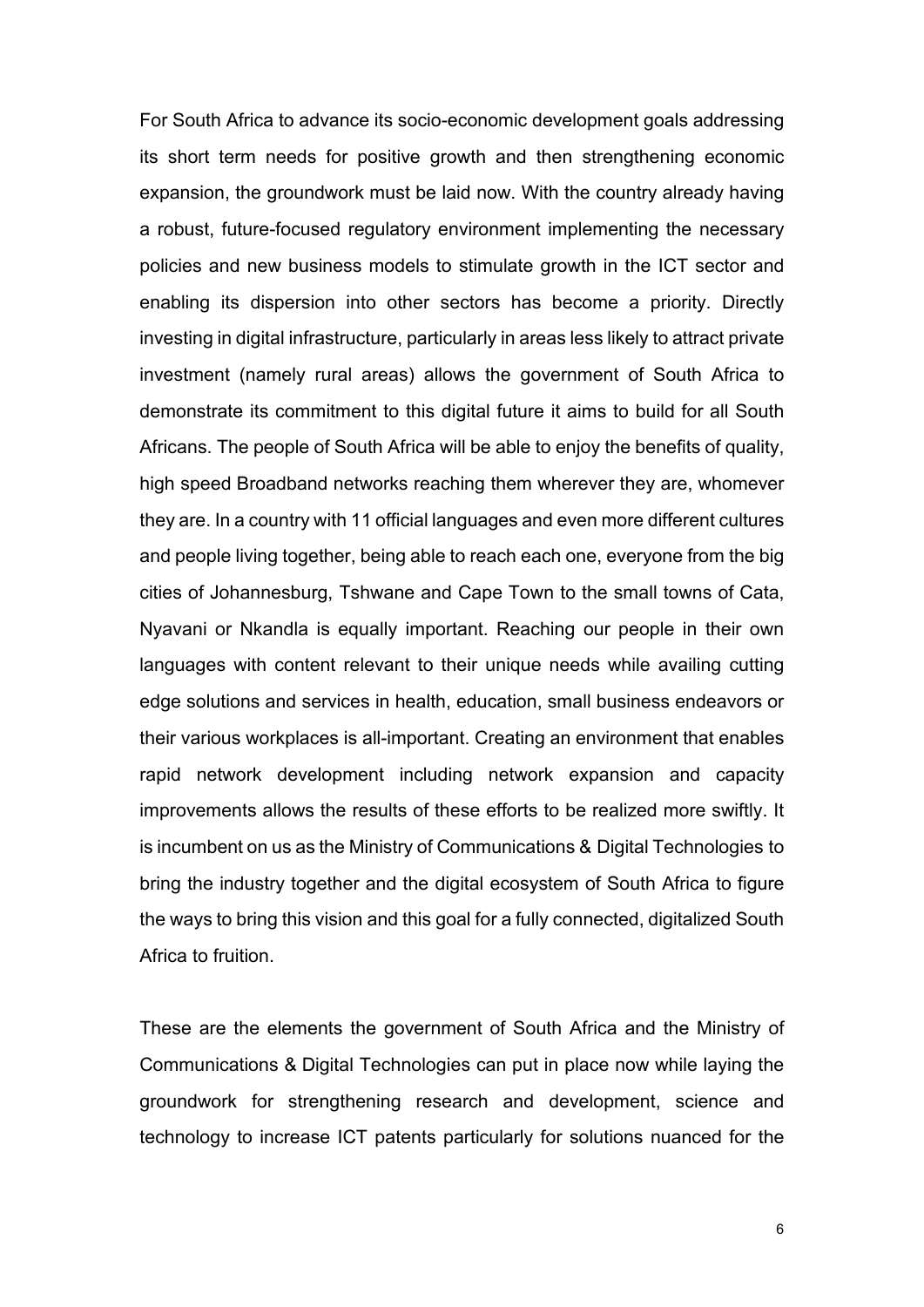For South Africa to advance its socio-economic development goals addressing its short term needs for positive growth and then strengthening economic expansion, the groundwork must be laid now. With the country already having a robust, future-focused regulatory environment implementing the necessary policies and new business models to stimulate growth in the ICT sector and enabling its dispersion into other sectors has become a priority. Directly investing in digital infrastructure, particularly in areas less likely to attract private investment (namely rural areas) allows the government of South Africa to demonstrate its commitment to this digital future it aims to build for all South Africans. The people of South Africa will be able to enjoy the benefits of quality, high speed Broadband networks reaching them wherever they are, whomever they are. In a country with 11 official languages and even more different cultures and people living together, being able to reach each one, everyone from the big cities of Johannesburg, Tshwane and Cape Town to the small towns of Cata, Nyavani or Nkandla is equally important. Reaching our people in their own languages with content relevant to their unique needs while availing cutting edge solutions and services in health, education, small business endeavors or their various workplaces is all-important. Creating an environment that enables rapid network development including network expansion and capacity improvements allows the results of these efforts to be realized more swiftly. It is incumbent on us as the Ministry of Communications & Digital Technologies to bring the industry together and the digital ecosystem of South Africa to figure the ways to bring this vision and this goal for a fully connected, digitalized South Africa to fruition.

These are the elements the government of South Africa and the Ministry of Communications & Digital Technologies can put in place now while laying the groundwork for strengthening research and development, science and technology to increase ICT patents particularly for solutions nuanced for the

6